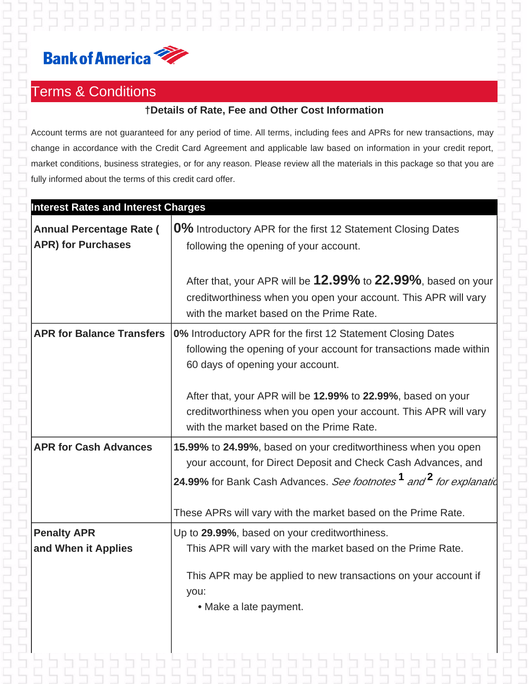

## Terms & Conditions

## **†Details of Rate, Fee and Other Cost Information**

5 5 5 5 5 5 5 5 5 5 5 5 5 5 5

Account terms are not guaranteed for any period of time. All terms, including fees and APRs for new transactions, may change in accordance with the Credit Card Agreement and applicable law based on information in your credit report, market conditions, business strategies, or for any reason. Please review all the materials in this package so that you are fully informed about the terms of this credit card offer.

| <b>Interest Rates and Interest Charges</b>                   |                                                                                                                                                                                                                               |  |
|--------------------------------------------------------------|-------------------------------------------------------------------------------------------------------------------------------------------------------------------------------------------------------------------------------|--|
| <b>Annual Percentage Rate (</b><br><b>APR) for Purchases</b> | 0% Introductory APR for the first 12 Statement Closing Dates<br>following the opening of your account.                                                                                                                        |  |
|                                                              | After that, your APR will be 12.99% to 22.99%, based on your<br>creditworthiness when you open your account. This APR will vary<br>with the market based on the Prime Rate.                                                   |  |
| <b>APR for Balance Transfers</b>                             | 0% Introductory APR for the first 12 Statement Closing Dates<br>following the opening of your account for transactions made within<br>60 days of opening your account.                                                        |  |
|                                                              | After that, your APR will be 12.99% to 22.99%, based on your<br>creditworthiness when you open your account. This APR will vary<br>with the market based on the Prime Rate.                                                   |  |
| <b>APR for Cash Advances</b>                                 | 15.99% to 24.99%, based on your creditworthiness when you open<br>your account, for Direct Deposit and Check Cash Advances, and<br>24.99% for Bank Cash Advances. See footnotes <sup>1</sup> and <sup>2</sup> for explanation |  |
|                                                              | These APRs will vary with the market based on the Prime Rate.                                                                                                                                                                 |  |
| <b>Penalty APR</b>                                           | Up to 29.99%, based on your creditworthiness.                                                                                                                                                                                 |  |
| and When it Applies                                          | This APR will vary with the market based on the Prime Rate.                                                                                                                                                                   |  |
|                                                              | This APR may be applied to new transactions on your account if<br>you:<br>• Make a late payment.                                                                                                                              |  |
|                                                              |                                                                                                                                                                                                                               |  |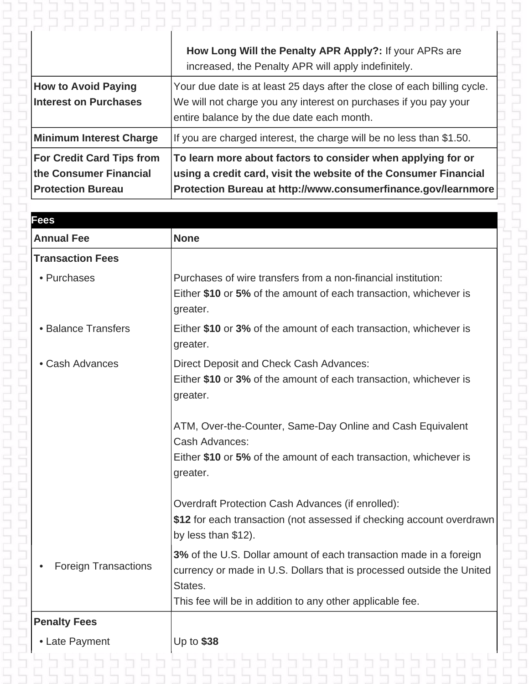|                                                                                        | How Long Will the Penalty APR Apply?: If your APRs are                                                                                                                                            |
|----------------------------------------------------------------------------------------|---------------------------------------------------------------------------------------------------------------------------------------------------------------------------------------------------|
|                                                                                        | increased, the Penalty APR will apply indefinitely.                                                                                                                                               |
| <b>How to Avoid Paying</b>                                                             | Your due date is at least 25 days after the close of each billing cycle.                                                                                                                          |
| <b>Interest on Purchases</b>                                                           | We will not charge you any interest on purchases if you pay your                                                                                                                                  |
|                                                                                        | entire balance by the due date each month.                                                                                                                                                        |
| <b>Minimum Interest Charge</b>                                                         | If you are charged interest, the charge will be no less than \$1.50.                                                                                                                              |
| <b>For Credit Card Tips from</b><br>the Consumer Financial<br><b>Protection Bureau</b> | To learn more about factors to consider when applying for or<br>using a credit card, visit the website of the Consumer Financial<br>Protection Bureau at http://www.consumerfinance.gov/learnmore |

| <b>Fees</b>                 |                                                                                                                                             |
|-----------------------------|---------------------------------------------------------------------------------------------------------------------------------------------|
| <b>Annual Fee</b>           | <b>None</b>                                                                                                                                 |
| <b>Transaction Fees</b>     |                                                                                                                                             |
| • Purchases                 | Purchases of wire transfers from a non-financial institution:                                                                               |
|                             | Either \$10 or 5% of the amount of each transaction, whichever is<br>greater.                                                               |
| • Balance Transfers         | Either \$10 or 3% of the amount of each transaction, whichever is<br>greater.                                                               |
| • Cash Advances             | Direct Deposit and Check Cash Advances:                                                                                                     |
|                             | Either \$10 or 3% of the amount of each transaction, whichever is<br>greater.                                                               |
|                             | ATM, Over-the-Counter, Same-Day Online and Cash Equivalent<br>Cash Advances:                                                                |
|                             | Either \$10 or 5% of the amount of each transaction, whichever is<br>greater.                                                               |
|                             | Overdraft Protection Cash Advances (if enrolled):                                                                                           |
|                             | \$12 for each transaction (not assessed if checking account overdrawn<br>by less than $$12$ ).                                              |
| <b>Foreign Transactions</b> | 3% of the U.S. Dollar amount of each transaction made in a foreign<br>currency or made in U.S. Dollars that is processed outside the United |
|                             | States.<br>This fee will be in addition to any other applicable fee.                                                                        |
| <b>Penalty Fees</b>         |                                                                                                                                             |
|                             | Up to \$38                                                                                                                                  |
| • Late Payment              | : בכל כל כל כל כל כל כל כל                                                                                                                  |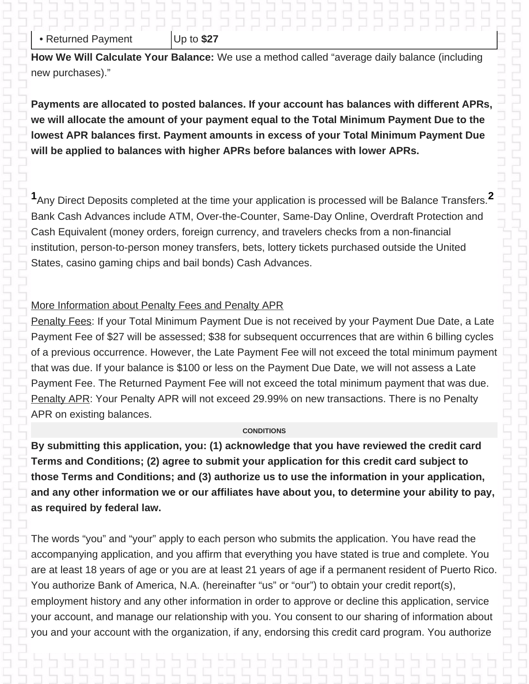## • Returned Payment | Up to \$27 **How We Will Calculate Your Balance:** We use a method called "average daily balance (including new purchases)."

**Payments are allocated to posted balances. If your account has balances with different APRs, we will allocate the amount of your payment equal to the Total Minimum Payment Due to the lowest APR balances first. Payment amounts in excess of your Total Minimum Payment Due will be applied to balances with higher APRs before balances with lower APRs.**

55555555555

**<sup>1</sup>**Any Direct Deposits completed at the time your application is processed will be Balance Transfers.**<sup>2</sup>** Bank Cash Advances include ATM, Over-the-Counter, Same-Day Online, Overdraft Protection and Cash Equivalent (money orders, foreign currency, and travelers checks from a non-financial institution, person-to-person money transfers, bets, lottery tickets purchased outside the United States, casino gaming chips and bail bonds) Cash Advances.

## More Information about Penalty Fees and Penalty APR

Penalty Fees: If your Total Minimum Payment Due is not received by your Payment Due Date, a Late Payment Fee of \$27 will be assessed; \$38 for subsequent occurrences that are within 6 billing cycles of a previous occurrence. However, the Late Payment Fee will not exceed the total minimum payment that was due. If your balance is \$100 or less on the Payment Due Date, we will not assess a Late Payment Fee. The Returned Payment Fee will not exceed the total minimum payment that was due. Penalty APR: Your Penalty APR will not exceed 29.99% on new transactions. There is no Penalty APR on existing balances.

## **CONDITIONS**

**By submitting this application, you: (1) acknowledge that you have reviewed the credit card Terms and Conditions; (2) agree to submit your application for this credit card subject to those Terms and Conditions; and (3) authorize us to use the information in your application, and any other information we or our affiliates have about you, to determine your ability to pay, as required by federal law.**

The words "you" and "your" apply to each person who submits the application. You have read the accompanying application, and you affirm that everything you have stated is true and complete. You are at least 18 years of age or you are at least 21 years of age if a permanent resident of Puerto Rico. You authorize Bank of America, N.A. (hereinafter "us" or "our") to obtain your credit report(s), employment history and any other information in order to approve or decline this application, service your account, and manage our relationship with you. You consent to our sharing of information about you and your account with the organization, if any, endorsing this credit card program. You authorize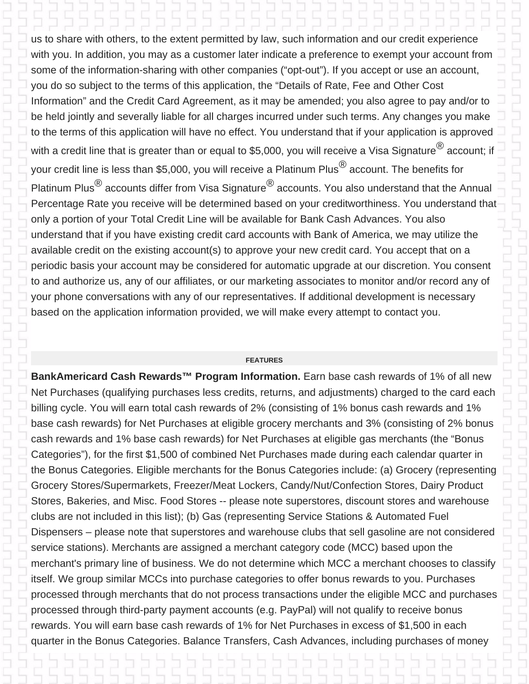us to share with others, to the extent permitted by law, such information and our credit experience with you. In addition, you may as a customer later indicate a preference to exempt your account from some of the information-sharing with other companies ("opt-out"). If you accept or use an account, you do so subject to the terms of this application, the "Details of Rate, Fee and Other Cost Information" and the Credit Card Agreement, as it may be amended; you also agree to pay and/or to be held jointly and severally liable for all charges incurred under such terms. Any changes you make to the terms of this application will have no effect. You understand that if your application is approved with a credit line that is greater than or equal to \$5,000, you will receive a Visa Signature  ${}^{\circledR}$  account; if your credit line is less than \$5,000, you will receive a Platinum Plus<sup> $\textcircled{8}$ </sup> account. The benefits for Platinum Plus $^{\circledR}$  accounts differ from Visa Signature $^{\circledR}$  accounts. You also understand that the Annual Percentage Rate you receive will be determined based on your creditworthiness. You understand that only a portion of your Total Credit Line will be available for Bank Cash Advances. You also understand that if you have existing credit card accounts with Bank of America, we may utilize the available credit on the existing account(s) to approve your new credit card. You accept that on a periodic basis your account may be considered for automatic upgrade at our discretion. You consent to and authorize us, any of our affiliates, or our marketing associates to monitor and/or record any of your phone conversations with any of our representatives. If additional development is necessary based on the application information provided, we will make every attempt to contact you.

### **FEATURES**

**BankAmericard Cash Rewards™ Program Information.** Earn base cash rewards of 1% of all new Net Purchases (qualifying purchases less credits, returns, and adjustments) charged to the card each billing cycle. You will earn total cash rewards of 2% (consisting of 1% bonus cash rewards and 1% base cash rewards) for Net Purchases at eligible grocery merchants and 3% (consisting of 2% bonus cash rewards and 1% base cash rewards) for Net Purchases at eligible gas merchants (the "Bonus Categories"), for the first \$1,500 of combined Net Purchases made during each calendar quarter in the Bonus Categories. Eligible merchants for the Bonus Categories include: (a) Grocery (representing Grocery Stores/Supermarkets, Freezer/Meat Lockers, Candy/Nut/Confection Stores, Dairy Product Stores, Bakeries, and Misc. Food Stores -- please note superstores, discount stores and warehouse clubs are not included in this list); (b) Gas (representing Service Stations & Automated Fuel Dispensers – please note that superstores and warehouse clubs that sell gasoline are not considered service stations). Merchants are assigned a merchant category code (MCC) based upon the merchant's primary line of business. We do not determine which MCC a merchant chooses to classify itself. We group similar MCCs into purchase categories to offer bonus rewards to you. Purchases processed through merchants that do not process transactions under the eligible MCC and purchases processed through third-party payment accounts (e.g. PayPal) will not qualify to receive bonus rewards. You will earn base cash rewards of 1% for Net Purchases in excess of \$1,500 in each quarter in the Bonus Categories. Balance Transfers, Cash Advances, including purchases of money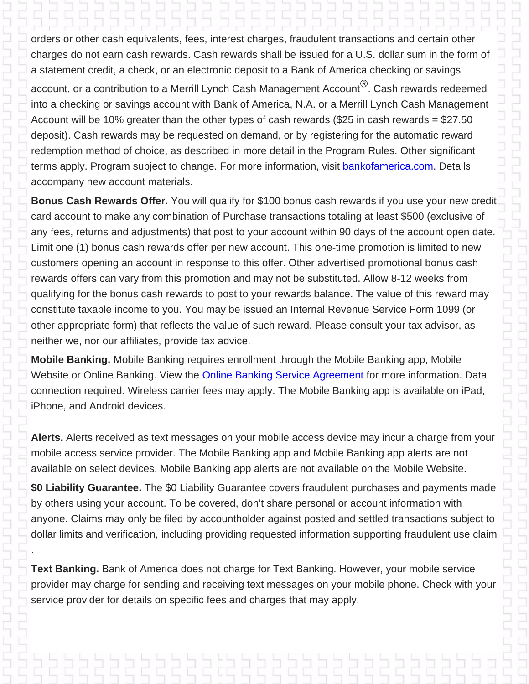# orders or other cash equivalents, fees, interest charges, fraudulent transactions and certain other

charges do not earn cash rewards. Cash rewards shall be issued for a U.S. dollar sum in the form of a statement credit, a check, or an electronic deposit to a Bank of America checking or savings account, or a contribution to a Merrill Lynch Cash Management Account<sup>®</sup>. Cash rewards redeemed into a checking or savings account with Bank of America, N.A. or a Merrill Lynch Cash Management Account will be 10% greater than the other types of cash rewards (\$25 in cash rewards = \$27.50 deposit). Cash rewards may be requested on demand, or by registering for the automatic reward redemption method of choice, as described in more detail in the Program Rules. Other significant terms apply. Program subject to change. For more information, visit **bankofamerica.com**. Details accompany new account materials.

**Bonus Cash Rewards Offer.** You will qualify for \$100 bonus cash rewards if you use your new credit card account to make any combination of Purchase transactions totaling at least \$500 (exclusive of any fees, returns and adjustments) that post to your account within 90 days of the account open date. Limit one (1) bonus cash rewards offer per new account. This one-time promotion is limited to new customers opening an account in response to this offer. Other advertised promotional bonus cash rewards offers can vary from this promotion and may not be substituted. Allow 8-12 weeks from qualifying for the bonus cash rewards to post to your rewards balance. The value of this reward may constitute taxable income to you. You may be issued an Internal Revenue Service Form 1099 (or other appropriate form) that reflects the value of such reward. Please consult your tax advisor, as neither we, nor our affiliates, provide tax advice.

**Mobile Banking.** Mobile Banking requires enrollment through the Mobile Banking app, Mobile Website or Online Banking. View the Online Banking Service Agreement for more information. Data connection required. Wireless carrier fees may apply. The Mobile Banking app is available on iPad, iPhone, and Android devices.

**Alerts.** Alerts received as text messages on your mobile access device may incur a charge from your mobile access service provider. The Mobile Banking app and Mobile Banking app alerts are not available on select devices. Mobile Banking app alerts are not available on the Mobile Website.

**\$0 Liability Guarantee.** The \$0 Liability Guarantee covers fraudulent purchases and payments made by others using your account. To be covered, don't share personal or account information with anyone. Claims may only be filed by accountholder against posted and settled transactions subject to dollar limits and verification, including providing requested information supporting fraudulent use claim

**Text Banking.** Bank of America does not charge for Text Banking. However, your mobile service provider may charge for sending and receiving text messages on your mobile phone. Check with your service provider for details on specific fees and charges that may apply.

.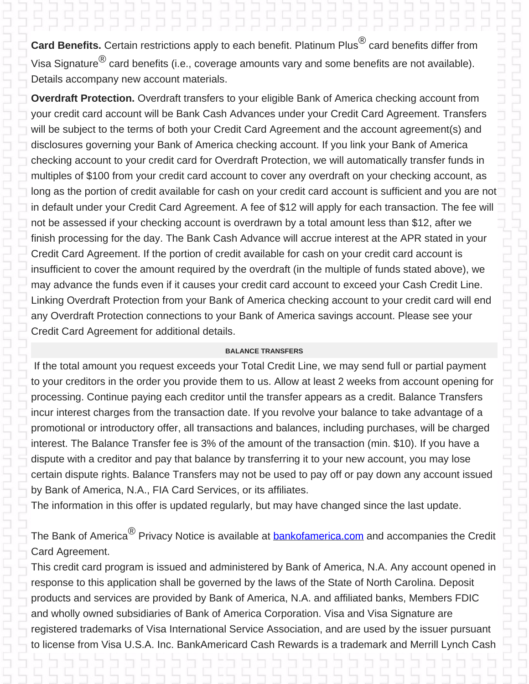Card Benefits. Certain restrictions apply to each benefit. Platinum Plus<sup>®</sup> card benefits differ from Visa Signature $^{\textcircled{k}}$  card benefits (i.e., coverage amounts vary and some benefits are not available). Details accompany new account materials.

**Overdraft Protection.** Overdraft transfers to your eligible Bank of America checking account from your credit card account will be Bank Cash Advances under your Credit Card Agreement. Transfers will be subject to the terms of both your Credit Card Agreement and the account agreement(s) and disclosures governing your Bank of America checking account. If you link your Bank of America checking account to your credit card for Overdraft Protection, we will automatically transfer funds in multiples of \$100 from your credit card account to cover any overdraft on your checking account, as long as the portion of credit available for cash on your credit card account is sufficient and you are not in default under your Credit Card Agreement. A fee of \$12 will apply for each transaction. The fee will not be assessed if your checking account is overdrawn by a total amount less than \$12, after we finish processing for the day. The Bank Cash Advance will accrue interest at the APR stated in your Credit Card Agreement. If the portion of credit available for cash on your credit card account is insufficient to cover the amount required by the overdraft (in the multiple of funds stated above), we may advance the funds even if it causes your credit card account to exceed your Cash Credit Line. Linking Overdraft Protection from your Bank of America checking account to your credit card will end any Overdraft Protection connections to your Bank of America savings account. Please see your Credit Card Agreement for additional details.

## **BALANCE TRANSFERS**

If the total amount you request exceeds your Total Credit Line, we may send full or partial payment to your creditors in the order you provide them to us. Allow at least 2 weeks from account opening for processing. Continue paying each creditor until the transfer appears as a credit. Balance Transfers incur interest charges from the transaction date. If you revolve your balance to take advantage of a promotional or introductory offer, all transactions and balances, including purchases, will be charged interest. The Balance Transfer fee is 3% of the amount of the transaction (min. \$10). If you have a dispute with a creditor and pay that balance by transferring it to your new account, you may lose certain dispute rights. Balance Transfers may not be used to pay off or pay down any account issued by Bank of America, N.A., FIA Card Services, or its affiliates.

The information in this offer is updated regularly, but may have changed since the last update.

The Bank of America<sup>®</sup> Privacy Notice is available at **bankofamerica.com** and accompanies the Credit Card Agreement.

This credit card program is issued and administered by Bank of America, N.A. Any account opened in response to this application shall be governed by the laws of the State of North Carolina. Deposit products and services are provided by Bank of America, N.A. and affiliated banks, Members FDIC and wholly owned subsidiaries of Bank of America Corporation. Visa and Visa Signature are registered trademarks of Visa International Service Association, and are used by the issuer pursuant to license from Visa U.S.A. Inc. BankAmericard Cash Rewards is a trademark and Merrill Lynch Cash